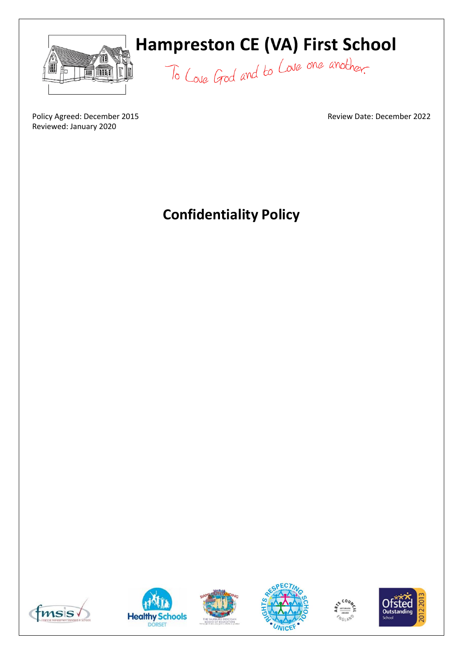

# **Hampreston CE (VA) First School**

To Love God and to Love one another.

Review Date: December 2022

Policy Agreed: December 2015 Reviewed: January 2020

**Confidentiality Policy**











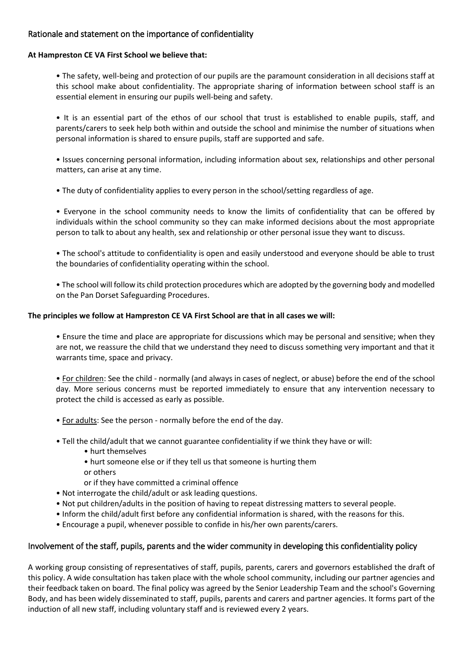# Rationale and statement on the importance of confidentiality

#### **At Hampreston CE VA First School we believe that:**

• The safety, well-being and protection of our pupils are the paramount consideration in all decisions staff at this school make about confidentiality. The appropriate sharing of information between school staff is an essential element in ensuring our pupils well-being and safety.

• It is an essential part of the ethos of our school that trust is established to enable pupils, staff, and parents/carers to seek help both within and outside the school and minimise the number of situations when personal information is shared to ensure pupils, staff are supported and safe.

• Issues concerning personal information, including information about sex, relationships and other personal matters, can arise at any time.

• The duty of confidentiality applies to every person in the school/setting regardless of age.

• Everyone in the school community needs to know the limits of confidentiality that can be offered by individuals within the school community so they can make informed decisions about the most appropriate person to talk to about any health, sex and relationship or other personal issue they want to discuss.

• The school's attitude to confidentiality is open and easily understood and everyone should be able to trust the boundaries of confidentiality operating within the school.

• The school will follow its child protection procedures which are adopted by the governing body and modelled on the Pan Dorset Safeguarding Procedures.

## **The principles we follow at Hampreston CE VA First School are that in all cases we will:**

• Ensure the time and place are appropriate for discussions which may be personal and sensitive; when they are not, we reassure the child that we understand they need to discuss something very important and that it warrants time, space and privacy.

• For children: See the child - normally (and always in cases of neglect, or abuse) before the end of the school day. More serious concerns must be reported immediately to ensure that any intervention necessary to protect the child is accessed as early as possible.

- For adults: See the person normally before the end of the day.
- Tell the child/adult that we cannot guarantee confidentiality if we think they have or will:
	- hurt themselves
	- hurt someone else or if they tell us that someone is hurting them or others
	- or if they have committed a criminal offence
- Not interrogate the child/adult or ask leading questions.
- Not put children/adults in the position of having to repeat distressing matters to several people.
- Inform the child/adult first before any confidential information is shared, with the reasons for this.
- Encourage a pupil, whenever possible to confide in his/her own parents/carers.

# Involvement of the staff, pupils, parents and the wider community in developing this confidentiality policy

A working group consisting of representatives of staff, pupils, parents, carers and governors established the draft of this policy. A wide consultation has taken place with the whole school community, including our partner agencies and their feedback taken on board. The final policy was agreed by the Senior Leadership Team and the school's Governing Body, and has been widely disseminated to staff, pupils, parents and carers and partner agencies. It forms part of the induction of all new staff, including voluntary staff and is reviewed every 2 years.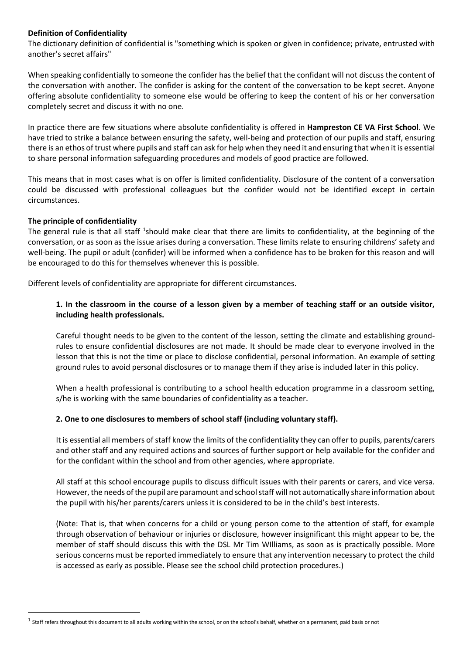## **Definition of Confidentiality**

The dictionary definition of confidential is "something which is spoken or given in confidence; private, entrusted with another's secret affairs"

When speaking confidentially to someone the confider has the belief that the confidant will not discuss the content of the conversation with another. The confider is asking for the content of the conversation to be kept secret. Anyone offering absolute confidentiality to someone else would be offering to keep the content of his or her conversation completely secret and discuss it with no one.

In practice there are few situations where absolute confidentiality is offered in **Hampreston CE VA First School**. We have tried to strike a balance between ensuring the safety, well-being and protection of our pupils and staff, ensuring there is an ethos of trust where pupils and staff can ask for help when they need it and ensuring that when it is essential to share personal information safeguarding procedures and models of good practice are followed.

This means that in most cases what is on offer is limited confidentiality. Disclosure of the content of a conversation could be discussed with professional colleagues but the confider would not be identified except in certain circumstances.

## **The principle of confidentiality**

**.** 

The general rule is that all staff <sup>1</sup>should make clear that there are limits to confidentiality, at the beginning of the conversation, or as soon as the issue arises during a conversation. These limits relate to ensuring childrens' safety and well-being. The pupil or adult (confider) will be informed when a confidence has to be broken for this reason and will be encouraged to do this for themselves whenever this is possible.

Different levels of confidentiality are appropriate for different circumstances.

# **1. In the classroom in the course of a lesson given by a member of teaching staff or an outside visitor, including health professionals.**

Careful thought needs to be given to the content of the lesson, setting the climate and establishing groundrules to ensure confidential disclosures are not made. It should be made clear to everyone involved in the lesson that this is not the time or place to disclose confidential, personal information. An example of setting ground rules to avoid personal disclosures or to manage them if they arise is included later in this policy.

When a health professional is contributing to a school health education programme in a classroom setting, s/he is working with the same boundaries of confidentiality as a teacher.

# **2. One to one disclosures to members of school staff (including voluntary staff).**

It is essential all members of staff know the limits of the confidentiality they can offer to pupils, parents/carers and other staff and any required actions and sources of further support or help available for the confider and for the confidant within the school and from other agencies, where appropriate.

All staff at this school encourage pupils to discuss difficult issues with their parents or carers, and vice versa. However, the needs of the pupil are paramount and school staff will not automatically share information about the pupil with his/her parents/carers unless it is considered to be in the child's best interests.

(Note: That is, that when concerns for a child or young person come to the attention of staff, for example through observation of behaviour or injuries or disclosure, however insignificant this might appear to be, the member of staff should discuss this with the DSL Mr Tim WIlliams, as soon as is practically possible. More serious concerns must be reported immediately to ensure that any intervention necessary to protect the child is accessed as early as possible. Please see the school child protection procedures.)

 $^1$  Staff refers throughout this document to all adults working within the school, or on the school's behalf, whether on a permanent, paid basis or not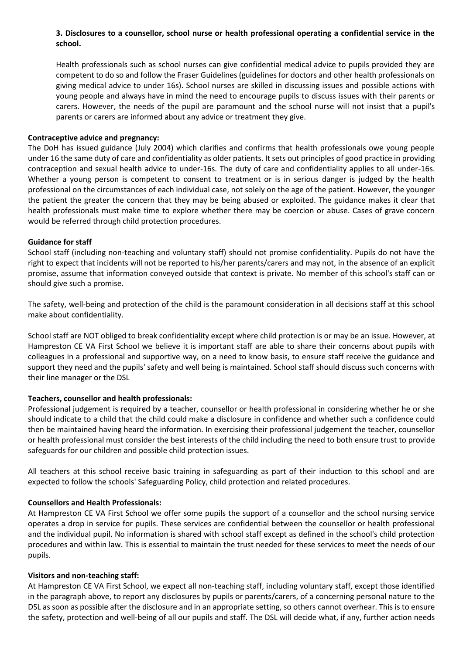# **3. Disclosures to a counsellor, school nurse or health professional operating a confidential service in the school.**

Health professionals such as school nurses can give confidential medical advice to pupils provided they are competent to do so and follow the Fraser Guidelines (guidelines for doctors and other health professionals on giving medical advice to under 16s). School nurses are skilled in discussing issues and possible actions with young people and always have in mind the need to encourage pupils to discuss issues with their parents or carers. However, the needs of the pupil are paramount and the school nurse will not insist that a pupil's parents or carers are informed about any advice or treatment they give.

## **Contraceptive advice and pregnancy:**

The DoH has issued guidance (July 2004) which clarifies and confirms that health professionals owe young people under 16 the same duty of care and confidentiality as older patients. It sets out principles of good practice in providing contraception and sexual health advice to under-16s. The duty of care and confidentiality applies to all under-16s. Whether a young person is competent to consent to treatment or is in serious danger is judged by the health professional on the circumstances of each individual case, not solely on the age of the patient. However, the younger the patient the greater the concern that they may be being abused or exploited. The guidance makes it clear that health professionals must make time to explore whether there may be coercion or abuse. Cases of grave concern would be referred through child protection procedures.

## **Guidance for staff**

School staff (including non-teaching and voluntary staff) should not promise confidentiality. Pupils do not have the right to expect that incidents will not be reported to his/her parents/carers and may not, in the absence of an explicit promise, assume that information conveyed outside that context is private. No member of this school's staff can or should give such a promise.

The safety, well-being and protection of the child is the paramount consideration in all decisions staff at this school make about confidentiality.

School staff are NOT obliged to break confidentiality except where child protection is or may be an issue. However, at Hampreston CE VA First School we believe it is important staff are able to share their concerns about pupils with colleagues in a professional and supportive way, on a need to know basis, to ensure staff receive the guidance and support they need and the pupils' safety and well being is maintained. School staff should discuss such concerns with their line manager or the DSL

# **Teachers, counsellor and health professionals:**

Professional judgement is required by a teacher, counsellor or health professional in considering whether he or she should indicate to a child that the child could make a disclosure in confidence and whether such a confidence could then be maintained having heard the information. In exercising their professional judgement the teacher, counsellor or health professional must consider the best interests of the child including the need to both ensure trust to provide safeguards for our children and possible child protection issues.

All teachers at this school receive basic training in safeguarding as part of their induction to this school and are expected to follow the schools' Safeguarding Policy, child protection and related procedures.

# **Counsellors and Health Professionals:**

At Hampreston CE VA First School we offer some pupils the support of a counsellor and the school nursing service operates a drop in service for pupils. These services are confidential between the counsellor or health professional and the individual pupil. No information is shared with school staff except as defined in the school's child protection procedures and within law. This is essential to maintain the trust needed for these services to meet the needs of our pupils.

#### **Visitors and non-teaching staff:**

At Hampreston CE VA First School, we expect all non-teaching staff, including voluntary staff, except those identified in the paragraph above, to report any disclosures by pupils or parents/carers, of a concerning personal nature to the DSL as soon as possible after the disclosure and in an appropriate setting, so others cannot overhear. This is to ensure the safety, protection and well-being of all our pupils and staff. The DSL will decide what, if any, further action needs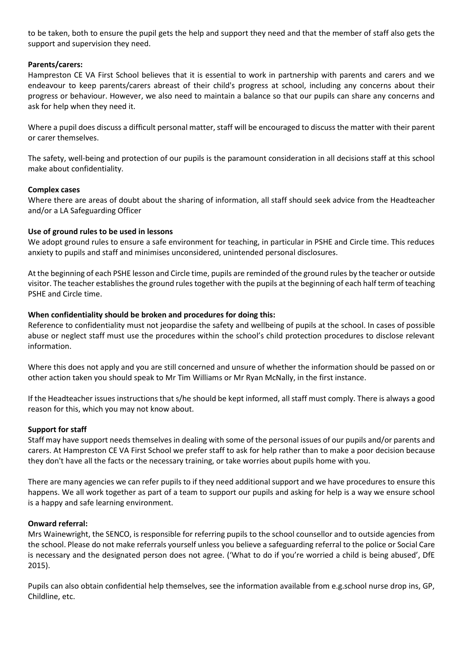to be taken, both to ensure the pupil gets the help and support they need and that the member of staff also gets the support and supervision they need.

## **Parents/carers:**

Hampreston CE VA First School believes that it is essential to work in partnership with parents and carers and we endeavour to keep parents/carers abreast of their child's progress at school, including any concerns about their progress or behaviour. However, we also need to maintain a balance so that our pupils can share any concerns and ask for help when they need it.

Where a pupil does discuss a difficult personal matter, staff will be encouraged to discuss the matter with their parent or carer themselves.

The safety, well-being and protection of our pupils is the paramount consideration in all decisions staff at this school make about confidentiality.

#### **Complex cases**

Where there are areas of doubt about the sharing of information, all staff should seek advice from the Headteacher and/or a LA Safeguarding Officer

## **Use of ground rules to be used in lessons**

We adopt ground rules to ensure a safe environment for teaching, in particular in PSHE and Circle time. This reduces anxiety to pupils and staff and minimises unconsidered, unintended personal disclosures.

At the beginning of each PSHE lesson and Circle time, pupils are reminded of the ground rules by the teacher or outside visitor. The teacher establishes the ground rules together with the pupils at the beginning of each half term of teaching PSHE and Circle time.

## **When confidentiality should be broken and procedures for doing this:**

Reference to confidentiality must not jeopardise the safety and wellbeing of pupils at the school. In cases of possible abuse or neglect staff must use the procedures within the school's child protection procedures to disclose relevant information.

Where this does not apply and you are still concerned and unsure of whether the information should be passed on or other action taken you should speak to Mr Tim Williams or Mr Ryan McNally, in the first instance.

If the Headteacher issues instructions that s/he should be kept informed, all staff must comply. There is always a good reason for this, which you may not know about.

#### **Support for staff**

Staff may have support needs themselves in dealing with some of the personal issues of our pupils and/or parents and carers. At Hampreston CE VA First School we prefer staff to ask for help rather than to make a poor decision because they don't have all the facts or the necessary training, or take worries about pupils home with you.

There are many agencies we can refer pupils to if they need additional support and we have procedures to ensure this happens. We all work together as part of a team to support our pupils and asking for help is a way we ensure school is a happy and safe learning environment.

#### **Onward referral:**

Mrs Wainewright, the SENCO, is responsible for referring pupils to the school counsellor and to outside agencies from the school. Please do not make referrals yourself unless you believe a safeguarding referral to the police or Social Care is necessary and the designated person does not agree. ('What to do if you're worried a child is being abused', DfE 2015).

Pupils can also obtain confidential help themselves, see the information available from e.g.school nurse drop ins, GP, Childline, etc.